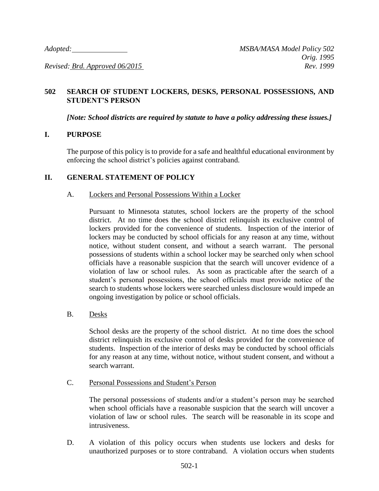*Revised: Brd. Approved 06/2015 Rev. 1999*

# **502 SEARCH OF STUDENT LOCKERS, DESKS, PERSONAL POSSESSIONS, AND STUDENT'S PERSON**

*[Note: School districts are required by statute to have a policy addressing these issues.]*

## **I. PURPOSE**

The purpose of this policy is to provide for a safe and healthful educational environment by enforcing the school district's policies against contraband.

## **II. GENERAL STATEMENT OF POLICY**

### A. Lockers and Personal Possessions Within a Locker

Pursuant to Minnesota statutes, school lockers are the property of the school district. At no time does the school district relinquish its exclusive control of lockers provided for the convenience of students. Inspection of the interior of lockers may be conducted by school officials for any reason at any time, without notice, without student consent, and without a search warrant. The personal possessions of students within a school locker may be searched only when school officials have a reasonable suspicion that the search will uncover evidence of a violation of law or school rules. As soon as practicable after the search of a student's personal possessions, the school officials must provide notice of the search to students whose lockers were searched unless disclosure would impede an ongoing investigation by police or school officials.

B. Desks

School desks are the property of the school district. At no time does the school district relinquish its exclusive control of desks provided for the convenience of students. Inspection of the interior of desks may be conducted by school officials for any reason at any time, without notice, without student consent, and without a search warrant.

C. Personal Possessions and Student's Person

The personal possessions of students and/or a student's person may be searched when school officials have a reasonable suspicion that the search will uncover a violation of law or school rules. The search will be reasonable in its scope and intrusiveness.

D. A violation of this policy occurs when students use lockers and desks for unauthorized purposes or to store contraband. A violation occurs when students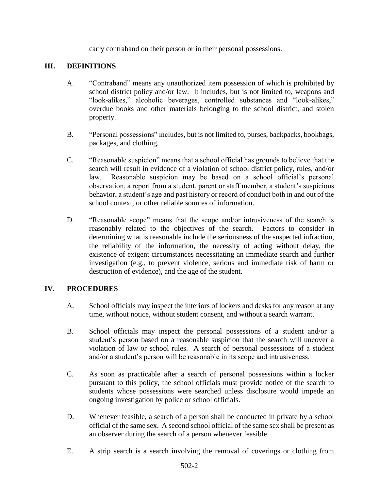carry contraband on their person or in their personal possessions.

### **III. DEFINITIONS**

- A. "Contraband" means any unauthorized item possession of which is prohibited by school district policy and/or law. It includes, but is not limited to, weapons and "look-alikes," alcoholic beverages, controlled substances and "look-alikes," overdue books and other materials belonging to the school district, and stolen property.
- B. "Personal possessions" includes, but is not limited to, purses, backpacks, bookbags, packages, and clothing.
- C. "Reasonable suspicion" means that a school official has grounds to believe that the search will result in evidence of a violation of school district policy, rules, and/or law. Reasonable suspicion may be based on a school official's personal observation, a report from a student, parent or staff member, a student's suspicious behavior, a student's age and past history or record of conduct both in and out of the school context, or other reliable sources of information.
- D. "Reasonable scope" means that the scope and/or intrusiveness of the search is reasonably related to the objectives of the search. Factors to consider in determining what is reasonable include the seriousness of the suspected infraction, the reliability of the information, the necessity of acting without delay, the existence of exigent circumstances necessitating an immediate search and further investigation (e.g., to prevent violence, serious and immediate risk of harm or destruction of evidence), and the age of the student.

# **IV. PROCEDURES**

- A. School officials may inspect the interiors of lockers and desks for any reason at any time, without notice, without student consent, and without a search warrant.
- B. School officials may inspect the personal possessions of a student and/or a student's person based on a reasonable suspicion that the search will uncover a violation of law or school rules. A search of personal possessions of a student and/or a student's person will be reasonable in its scope and intrusiveness.
- C. As soon as practicable after a search of personal possessions within a locker pursuant to this policy, the school officials must provide notice of the search to students whose possessions were searched unless disclosure would impede an ongoing investigation by police or school officials.
- D. Whenever feasible, a search of a person shall be conducted in private by a school official of the same sex. A second school official of the same sex shall be present as an observer during the search of a person whenever feasible.
- E. A strip search is a search involving the removal of coverings or clothing from